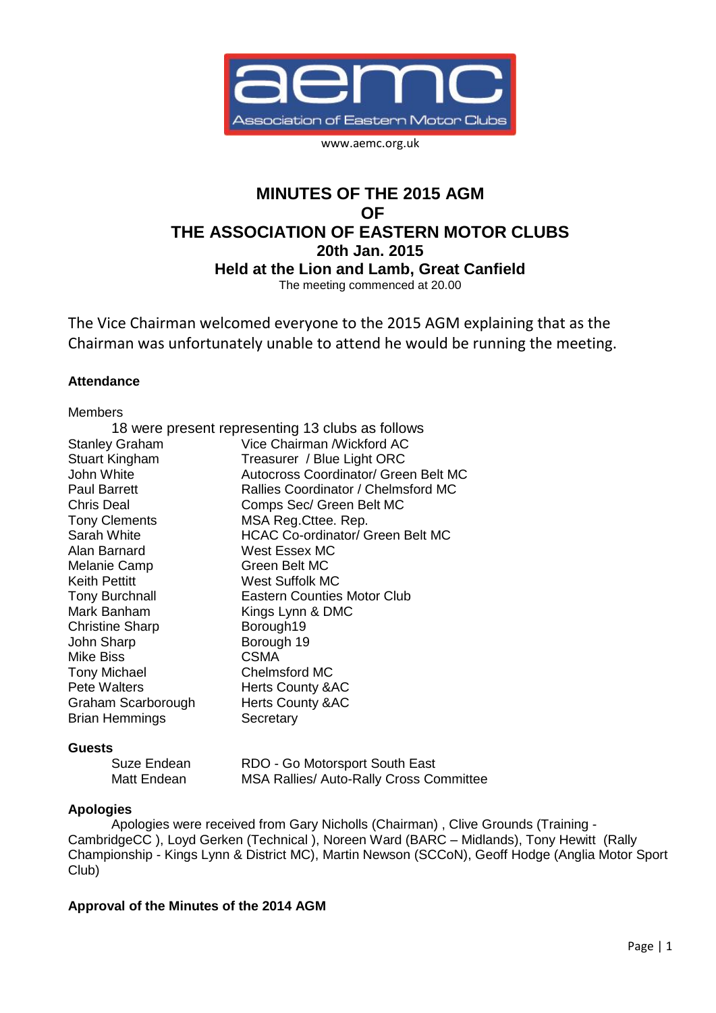

www.aemc.org.uk

# **MINUTES OF THE 2015 AGM OF THE ASSOCIATION OF EASTERN MOTOR CLUBS 20th Jan. 2015 Held at the Lion and Lamb, Great Canfield** The meeting commenced at 20.00

The Vice Chairman welcomed everyone to the 2015 AGM explaining that as the Chairman was unfortunately unable to attend he would be running the meeting.

# **Attendance**

| <b>Members</b>         |                                                  |
|------------------------|--------------------------------------------------|
|                        | 18 were present representing 13 clubs as follows |
| <b>Stanley Graham</b>  | Vice Chairman / Wickford AC                      |
| <b>Stuart Kingham</b>  | Treasurer / Blue Light ORC                       |
| John White             | Autocross Coordinator/ Green Belt MC             |
| <b>Paul Barrett</b>    | Rallies Coordinator / Chelmsford MC              |
| <b>Chris Deal</b>      | Comps Sec/ Green Belt MC                         |
| <b>Tony Clements</b>   | MSA Reg. Cttee. Rep.                             |
| Sarah White            | <b>HCAC Co-ordinator/ Green Belt MC</b>          |
| Alan Barnard           | <b>West Essex MC</b>                             |
| Melanie Camp           | Green Belt MC                                    |
| <b>Keith Pettitt</b>   | West Suffolk MC                                  |
| <b>Tony Burchnall</b>  | <b>Eastern Counties Motor Club</b>               |
| Mark Banham            | Kings Lynn & DMC                                 |
| <b>Christine Sharp</b> | Borough19                                        |
| John Sharp             | Borough 19                                       |
| <b>Mike Biss</b>       | <b>CSMA</b>                                      |
| <b>Tony Michael</b>    | <b>Chelmsford MC</b>                             |
| <b>Pete Walters</b>    | <b>Herts County &amp;AC</b>                      |
| Graham Scarborough     | <b>Herts County &amp;AC</b>                      |
| <b>Brian Hemmings</b>  | Secretary                                        |
|                        |                                                  |

# **Guests**

| Suze Endean | RDO - Go Motorsport South East                 |
|-------------|------------------------------------------------|
| Matt Endean | <b>MSA Rallies/ Auto-Rally Cross Committee</b> |

# **Apologies**

Apologies were received from Gary Nicholls (Chairman) , Clive Grounds (Training - CambridgeCC ), Loyd Gerken (Technical ), Noreen Ward (BARC – Midlands), Tony Hewitt (Rally Championship - Kings Lynn & District MC), Martin Newson (SCCoN), Geoff Hodge (Anglia Motor Sport Club)

# **Approval of the Minutes of the 2014 AGM**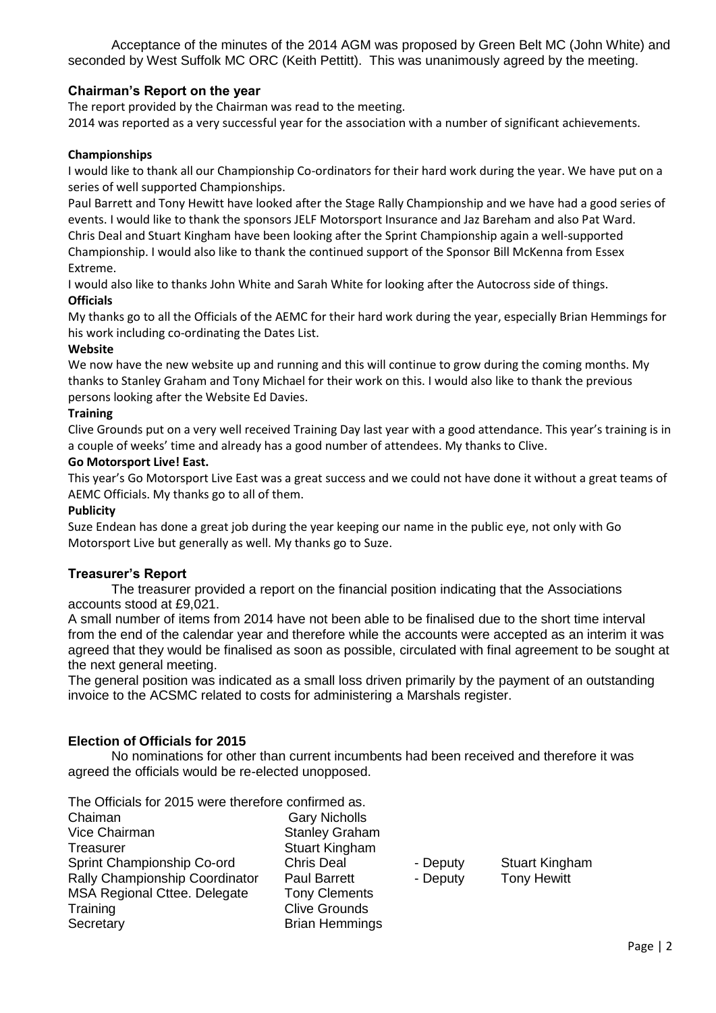Acceptance of the minutes of the 2014 AGM was proposed by Green Belt MC (John White) and seconded by West Suffolk MC ORC (Keith Pettitt). This was unanimously agreed by the meeting.

# **Chairman's Report on the year**

The report provided by the Chairman was read to the meeting.

2014 was reported as a very successful year for the association with a number of significant achievements.

### **Championships**

I would like to thank all our Championship Co-ordinators for their hard work during the year. We have put on a series of well supported Championships.

Paul Barrett and Tony Hewitt have looked after the Stage Rally Championship and we have had a good series of events. I would like to thank the sponsors JELF Motorsport Insurance and Jaz Bareham and also Pat Ward. Chris Deal and Stuart Kingham have been looking after the Sprint Championship again a well-supported Championship. I would also like to thank the continued support of the Sponsor Bill McKenna from Essex Extreme.

I would also like to thanks John White and Sarah White for looking after the Autocross side of things. **Officials**

My thanks go to all the Officials of the AEMC for their hard work during the year, especially Brian Hemmings for his work including co-ordinating the Dates List.

### **Website**

We now have the new website up and running and this will continue to grow during the coming months. My thanks to Stanley Graham and Tony Michael for their work on this. I would also like to thank the previous persons looking after the Website Ed Davies.

### **Training**

Clive Grounds put on a very well received Training Day last year with a good attendance. This year's training is in a couple of weeks' time and already has a good number of attendees. My thanks to Clive.

#### **Go Motorsport Live! East.**

This year's Go Motorsport Live East was a great success and we could not have done it without a great teams of AEMC Officials. My thanks go to all of them.

#### **Publicity**

Suze Endean has done a great job during the year keeping our name in the public eye, not only with Go Motorsport Live but generally as well. My thanks go to Suze.

# **Treasurer's Report**

The treasurer provided a report on the financial position indicating that the Associations accounts stood at £9,021.

A small number of items from 2014 have not been able to be finalised due to the short time interval from the end of the calendar year and therefore while the accounts were accepted as an interim it was agreed that they would be finalised as soon as possible, circulated with final agreement to be sought at the next general meeting.

The general position was indicated as a small loss driven primarily by the payment of an outstanding invoice to the ACSMC related to costs for administering a Marshals register.

# **Election of Officials for 2015**

No nominations for other than current incumbents had been received and therefore it was agreed the officials would be re-elected unopposed.

The Officials for 2015 were therefore confirmed as.

| Chaiman                             |
|-------------------------------------|
| <b>Vice Chairman</b>                |
| Treasurer                           |
| Sprint Championship Co-ord          |
| Rally Championship Coordinator      |
| <b>MSA Regional Cttee. Delegate</b> |
| Training                            |
| Secretary                           |

Gary Nicholls Stanley Graham Stuart Kingham Chris Deal - Deputy Stuart Kingham Paul Barrett - Deputy Tony Hewitt Tony Clements Clive Grounds **Brian Hemmings**